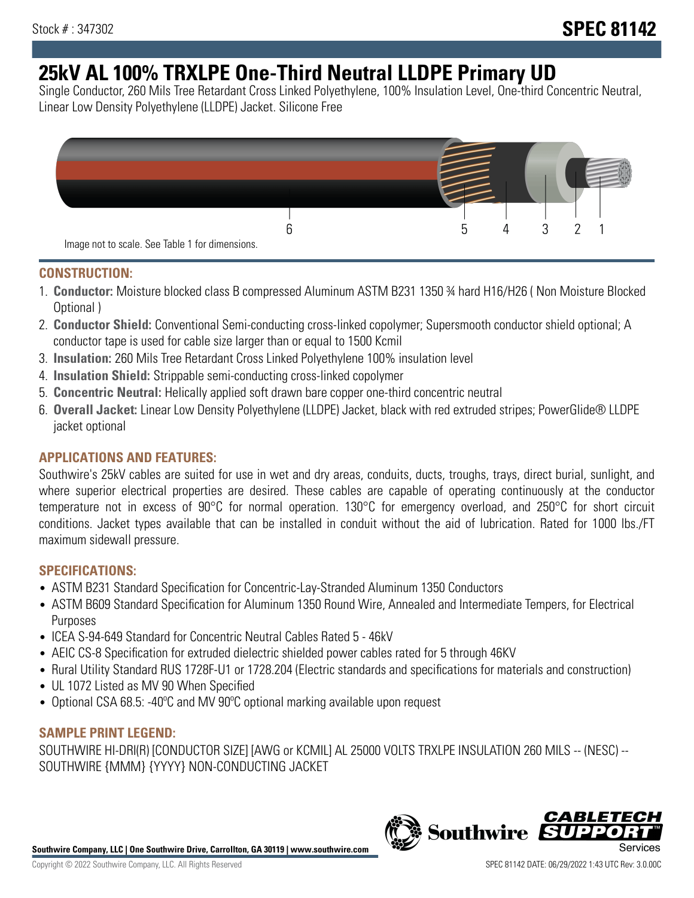# **25kV AL 100% TRXLPE One-Third Neutral LLDPE Primary UD**

Single Conductor, 260 Mils Tree Retardant Cross Linked Polyethylene, 100% Insulation Level, One-third Concentric Neutral, Linear Low Density Polyethylene (LLDPE) Jacket. Silicone Free



### **CONSTRUCTION:**

- 1. **Conductor:** Moisture blocked class B compressed Aluminum ASTM B231 1350 ¾ hard H16/H26 ( Non Moisture Blocked Optional )
- 2. **Conductor Shield:** Conventional Semi-conducting cross-linked copolymer; Supersmooth conductor shield optional; A conductor tape is used for cable size larger than or equal to 1500 Kcmil
- 3. **Insulation:** 260 Mils Tree Retardant Cross Linked Polyethylene 100% insulation level
- 4. **Insulation Shield:** Strippable semi-conducting cross-linked copolymer
- 5. **Concentric Neutral:** Helically applied soft drawn bare copper one-third concentric neutral
- 6. **Overall Jacket:** Linear Low Density Polyethylene (LLDPE) Jacket, black with red extruded stripes; PowerGlide® LLDPE jacket optional

## **APPLICATIONS AND FEATURES:**

Southwire's 25kV cables are suited for use in wet and dry areas, conduits, ducts, troughs, trays, direct burial, sunlight, and where superior electrical properties are desired. These cables are capable of operating continuously at the conductor temperature not in excess of 90°C for normal operation. 130°C for emergency overload, and 250°C for short circuit conditions. Jacket types available that can be installed in conduit without the aid of lubrication. Rated for 1000 lbs./FT maximum sidewall pressure.

## **SPECIFICATIONS:**

- ASTM B231 Standard Specification for Concentric-Lay-Stranded Aluminum 1350 Conductors
- ASTM B609 Standard Specification for Aluminum 1350 Round Wire, Annealed and Intermediate Tempers, for Electrical Purposes
- ICEA S-94-649 Standard for Concentric Neutral Cables Rated 5 46kV
- AEIC CS-8 Specification for extruded dielectric shielded power cables rated for 5 through 46KV
- Rural Utility Standard RUS 1728F-U1 or 1728.204 (Electric standards and specifications for materials and construction)
- UL 1072 Listed as MV 90 When Specified
- Optional CSA 68.5: -40ºC and MV 90ºC optional marking available upon request

### **SAMPLE PRINT LEGEND:**

SOUTHWIRE HI-DRI(R) [CONDUCTOR SIZE] [AWG or KCMIL] AL 25000 VOLTS TRXLPE INSULATION 260 MILS -- (NESC) -- SOUTHWIRE {MMM} {YYYY} NON-CONDUCTING JACKET

**Southwire Company, LLC | One Southwire Drive, Carrollton, GA 30119 | www.southwire.com**

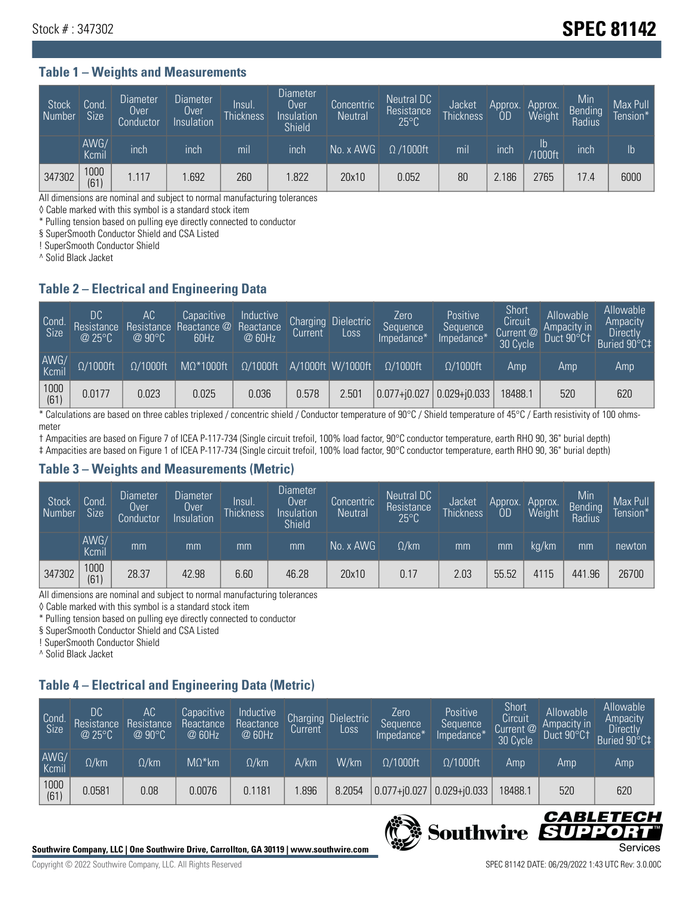## Stock # : 347302 **SPEC 81142**

### **Table 1 – Weights and Measurements**

| Stock<br>  Number | Cond.<br><b>Size</b> | <b>Diameter</b><br>Over<br>Conductor | <b>Diameter</b><br>Over<br>Insulation | lnsul.<br>Thickness | <b>Diameter</b><br>Over.<br>Insulation<br><b>Shield</b> | Concentric<br><b>Neutral</b> | Neutral DC<br>Resistance<br>$25^{\circ}$ C | Jacket<br><b>Thickness</b> | Approx.<br>0D | Approx.<br>Weight    | Min<br><b>Bending</b><br>Radius | Max Pull<br>Tension* <sup>1</sup> |
|-------------------|----------------------|--------------------------------------|---------------------------------------|---------------------|---------------------------------------------------------|------------------------------|--------------------------------------------|----------------------------|---------------|----------------------|---------------------------------|-----------------------------------|
|                   | AWG/<br>Kcmil        | inch                                 | inch                                  | mil                 | inch                                                    | No. x AWG                    | $\Omega$ /1000ft                           | mil                        | inch          | Ib<br><b>Y1000ft</b> | inch                            | $\mathsf{lb}$                     |
| 347302            | 1000<br>(61)         | 1.117                                | .692                                  | 260                 | .822                                                    | 20x10                        | 0.052                                      | 80                         | 2.186         | 2765                 | 17.4                            | 6000                              |

All dimensions are nominal and subject to normal manufacturing tolerances

◊ Cable marked with this symbol is a standard stock item

\* Pulling tension based on pulling eye directly connected to conductor

§ SuperSmooth Conductor Shield and CSA Listed

! SuperSmooth Conductor Shield

^ Solid Black Jacket

### **Table 2 – Electrical and Engineering Data**

| Cond.<br>Size | 'DC<br>Resistance<br>@25°C | АC<br>Resistance<br>$\oslash$ 90°C | Capacitive<br>Reactance @<br>60Hz | Inductive<br>Reactance<br>@ 60Hz | <b>Charging</b><br>Current | <b>Dielectric</b><br>Loss. | Zero<br>Sequence<br>Impedance* | Positive<br>Sequence<br>Impedance* | Short<br>Circuit<br>Current <sup>@</sup><br>30 Cycle | Allowable<br>Ampacity in<br>Duct 90°C1 | Allowable<br>Ampacity<br><b>Directly</b><br>Buried 90°C‡ |
|---------------|----------------------------|------------------------------------|-----------------------------------|----------------------------------|----------------------------|----------------------------|--------------------------------|------------------------------------|------------------------------------------------------|----------------------------------------|----------------------------------------------------------|
| AWG/<br>Kcmil | $\Omega/1000$ ft           | $\Omega/1000$ ft                   | $M\Omega^*1000$ ft                | $\Omega/1000$ ft                 |                            | A/1000ft W/1000ft          | $0/1000$ ft                    | $\Omega$ /1000ft                   | Amp                                                  | Amp                                    | Amp                                                      |
| 1000<br>(61)  | 0.0177                     | 0.023                              | 0.025                             | 0.036                            | 0.578                      | 2.501                      | $ 0.077 + i0.027$              | $0.029 + j0.033$                   | 18488.1                                              | 520                                    | 620                                                      |

\* Calculations are based on three cables triplexed / concentric shield / Conductor temperature of 90°C / Shield temperature of 45°C / Earth resistivity of 100 ohmsmeter

† Ampacities are based on Figure 7 of ICEA P-117-734 (Single circuit trefoil, 100% load factor, 90°C conductor temperature, earth RHO 90, 36" burial depth) ‡ Ampacities are based on Figure 1 of ICEA P-117-734 (Single circuit trefoil, 100% load factor, 90°C conductor temperature, earth RHO 90, 36" burial depth)

### **Table 3 – Weights and Measurements (Metric)**

| Stock<br>Number | Cond.<br><b>Size</b> | <b>Diameter</b><br>Over<br>Conductor | Diameter<br>Over<br>Insulation | Insul.<br><b>Thickness</b> | <b>Diameter</b><br>Over<br>Insulation<br><b>Shield</b> | Concentric<br><b>Neutral</b> | Neutral DC<br>Resistance<br>$25^{\circ}C$ | Jacket<br><b>Thickness</b> | Approx.<br>OD | Approx.<br>Weight | Min<br>Bending | Max Pull<br>Tension* |
|-----------------|----------------------|--------------------------------------|--------------------------------|----------------------------|--------------------------------------------------------|------------------------------|-------------------------------------------|----------------------------|---------------|-------------------|----------------|----------------------|
|                 | AWG/<br>Kcmil        | mm                                   | mm                             | mm                         | mm                                                     | No. x AWG                    | $\Omega$ /km                              | mm                         | mm            | ka/km             | mm             | newton               |
| 347302          | 1000<br>(61)         | 28.37                                | 42.98                          | 6.60                       | 46.28                                                  | 20x10                        | 0.17                                      | 2.03                       | 55.52         | 4115              | 441.96         | 26700                |

All dimensions are nominal and subject to normal manufacturing tolerances

◊ Cable marked with this symbol is a standard stock item

\* Pulling tension based on pulling eye directly connected to conductor

§ SuperSmooth Conductor Shield and CSA Listed

! SuperSmooth Conductor Shield

^ Solid Black Jacket

## **Table 4 – Electrical and Engineering Data (Metric)**

| Cond.<br>Size | 'DC<br>Resistance<br>@25°C | АC<br>Resistance<br>$@90^{\circ}C$ | Capacitive<br>Reactance<br>@ 60Hz | Inductive<br>Reactance<br>@ 60Hz | Charging<br>Current | Dielectric<br>LOSS. | Zero<br>Sequence<br>Impedance* | Positive<br>Sequence<br>Impedance* | Short<br>Circuit<br>Current $@'$<br>30 Cycle | Allowable<br>Ampacity in<br>Duct 90°Ct | <b>Allowable</b><br>Ampacity<br>Directly<br>Buried 90°C‡ |
|---------------|----------------------------|------------------------------------|-----------------------------------|----------------------------------|---------------------|---------------------|--------------------------------|------------------------------------|----------------------------------------------|----------------------------------------|----------------------------------------------------------|
| AWG/<br>Kcmil | $\Omega$ /km               | $\Omega$ /km                       | $M\Omega^*$ km                    | $\Omega$ /km                     | A/km                | W/km                | $\Omega/1000$ ft               | $\Omega/1000$ ft                   | Amp                                          | Amp                                    | Amp                                                      |
| 1000<br>(61)  | 0.0581                     | 0.08                               | 0.0076                            | 0.1181                           | .896                | 8.2054              | $0.077 + j0.027$               | $0.029 + 0.033$                    | 18488.1                                      | 520                                    | 620                                                      |



CABLE

UPPOR

IS

**Southwire**